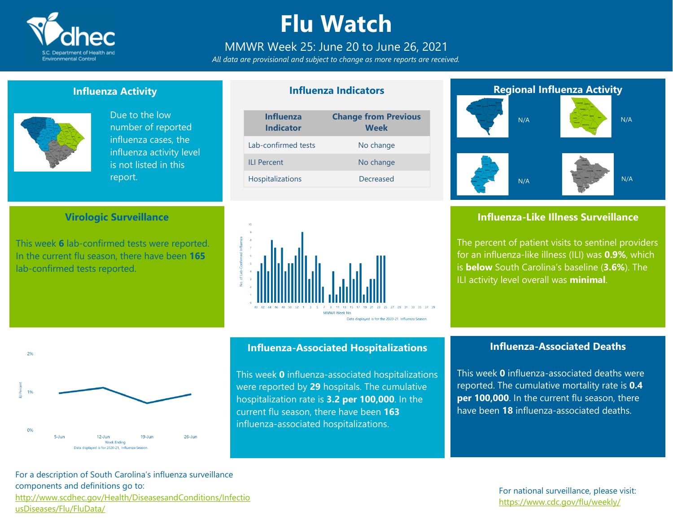

## **Flu Watch**

### MMWR Week 25: June 20 to June 26, 2021

*All data are provisional and subject to change as more reports are received.*

**Influenza Indicators**

#### **Influenza Activity**



 $20/$ 

 $0%$ 

 $5 - \lim$ 

Due to the low number of reported influenza cases, the influenza activity level is not listed in this report.

#### **Virologic Surveillance**

This week **6** lab-confirmed tests were reported. In the current flu season, there have been **165** lab-confirmed tests reported.





This week **0** influenza-associated hospitalizations were reported by **29** hospitals. The cumulative hospitalization rate is **3.2 per 100,000**. In the current flu season, there have been **163** influenza-associated hospitalizations.

**Influenza-Associated Hospitalizations**

### **Regional Influenza Activity** N/A

N/A





#### **Influenza-Like Illness Surveillance**

The percent of patient visits to sentinel providers for an influenza-like illness (ILI) was **0.9%**, which is **below** South Carolina's baseline (**3.6%**). The ILI activity level overall was **minimal**.

#### **Influenza-Associated Deaths**

This week **0** influenza-associated deaths were reported. The cumulative mortality rate is **0.4 per 100,000**. In the current flu season, there have been **18** influenza-associated deaths.

For a description of South Carolina's influenza surveillance components and definitions go to: [http://www.scdhec.gov/Health/DiseasesandConditions/Infectio](http://www.scdhec.gov/Health/DiseasesandConditions/InfectiousDiseases/Flu/FluData/) [usDiseases/Flu/FluData/](http://www.scdhec.gov/Health/DiseasesandConditions/InfectiousDiseases/Flu/FluData/)

 $12$ -Jun Week Ending Data displayed is for 2020-21. Influenza Season

 $19-$ Jun

 $26$ -Jun

#### For national surveillance, please visit: <https://www.cdc.gov/flu/weekly/>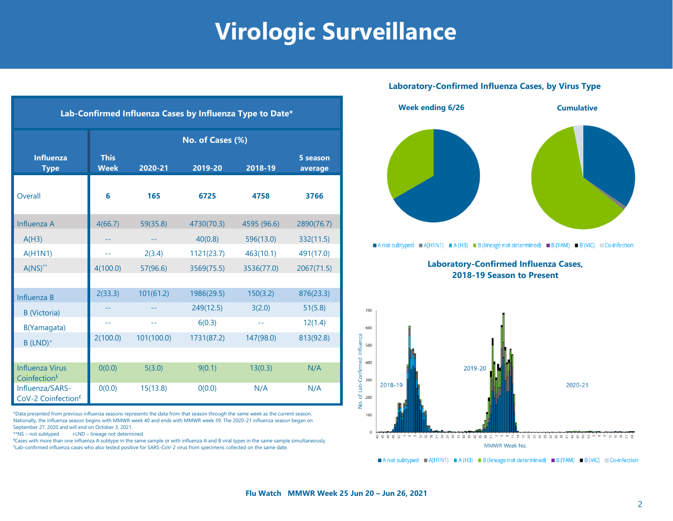## **Virologic Surveillance**

| Lab-Confirmed Influenza Cases by Influenza Type to Date* |                            |             |            |             |                     |  |  |  |  |
|----------------------------------------------------------|----------------------------|-------------|------------|-------------|---------------------|--|--|--|--|
|                                                          | No. of Cases (%)           |             |            |             |                     |  |  |  |  |
| <b>Influenza</b><br><b>Type</b>                          | <b>This</b><br><b>Week</b> | $2020 - 21$ | 2019-20    | 2018-19     | 5 season<br>average |  |  |  |  |
| Overall                                                  | 6                          | 165         | 6725       | 4758        | 3766                |  |  |  |  |
| Influenza A                                              | 4(66.7)                    | 59(35.8)    | 4730(70.3) | 4595 (96.6) | 2890(76.7)          |  |  |  |  |
| A(H3)                                                    |                            |             | 40(0.8)    | 596(13.0)   | 332(11.5)           |  |  |  |  |
| A(H1N1)                                                  | --                         | 2(3.4)      | 1121(23.7) | 463(10.1)   | 491(17.0)           |  |  |  |  |
| $A(NS)^{**}$                                             | 4(100.0)                   | 57(96.6)    | 3569(75.5) | 3536(77.0)  | 2067(71.5)          |  |  |  |  |
|                                                          |                            |             |            |             |                     |  |  |  |  |
| Influenza B                                              | 2(33.3)                    | 101(61.2)   | 1986(29.5) | 150(3.2)    | 876(23.3)           |  |  |  |  |
| <b>B</b> (Victoria)                                      |                            |             | 249(12.5)  | 3(2.0)      | 51(5.8)             |  |  |  |  |
| B(Yamagata)                                              | $-1$                       | $- -$       | 6(0.3)     | --          | 12(1.4)             |  |  |  |  |
| $B$ (LND) <sup>+</sup>                                   | 2(100.0)                   | 101(100.0)  | 1731(87.2) | 147(98.0)   | 813(92.8)           |  |  |  |  |
|                                                          |                            |             |            |             |                     |  |  |  |  |
| <b>Influenza Virus</b><br>Coinfection <sup>§</sup>       | O(0.0)                     | 5(3.0)      | 9(0.1)     | 13(0.3)     | N/A                 |  |  |  |  |
| Influenza/SARS-<br>CoV-2 Coinfection <sup>£</sup>        | O(0.0)                     | 15(13.8)    | O(0.0)     | N/A         | N/A                 |  |  |  |  |

\*Data presented from previous influenza seasons represents the data from that season through the same week as the current season. Nationally, the influenza season begins with MMWR week 40 and ends with MMWR week 39. The 2020-21 influenza season began on September 27, 2020 and will end on October 3, 2021.

\*\*NS – not subtyped +LND – lineage not determined

§Cases with more than one influenza A subtype in the same sample or with influenza A and B viral types in the same sample simultaneously. £Lab-confirmed influenza cases who also tested positive for SARS-CoV-2 virus from specimens collected on the same date.

#### **Laboratory-Confirmed Influenza Cases, by Virus Type**



A not subtyped  $\blacksquare$  A(H1N1)  $\blacksquare$  A(H3)  $\blacksquare$  B (lineage not determined)  $\blacksquare$  B (YAM)  $\blacksquare$  B (VIC)  $\blacksquare$  Co-infection

**Laboratory-Confirmed Influenza Cases, 2018-19 Season to Present**



A not subtyped  $A(H1N1) = A(H3) = B$  (lineage not determined) B (YAM) B (VIC) Co-infection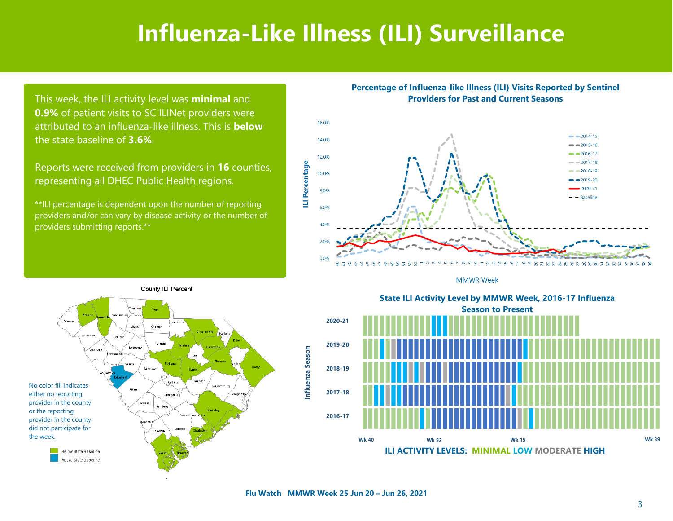### **Influenza-Like Illness (ILI) Surveillance**

This week, the ILI activity level was **minimal** and **0.9%** of patient visits to SC ILINet providers were attributed to an influenza-like illness. This is **below**  the state baseline of **3.6%**.

Reports were received from providers in **16** counties, representing all DHEC Public Health regions.

\*\*ILI percentage is dependent upon the number of reporting providers and/or can vary by disease activity or the number of providers submitting reports.\*\*









State ILI Activity Level by MMWR Week, 2016-17 Influenza **Season to Present** Season to Present **2020-21 2019-20 2018-19 2017-18 2016-17 State ILI Activity Level by MMWR Week, 2016-17 Influenza**

**ILI ACTIVITY LEVELS: MINIMAL LOW MODERATE HIGH**

**Wk 40 Wk 52 Wk 15 Wk 39**